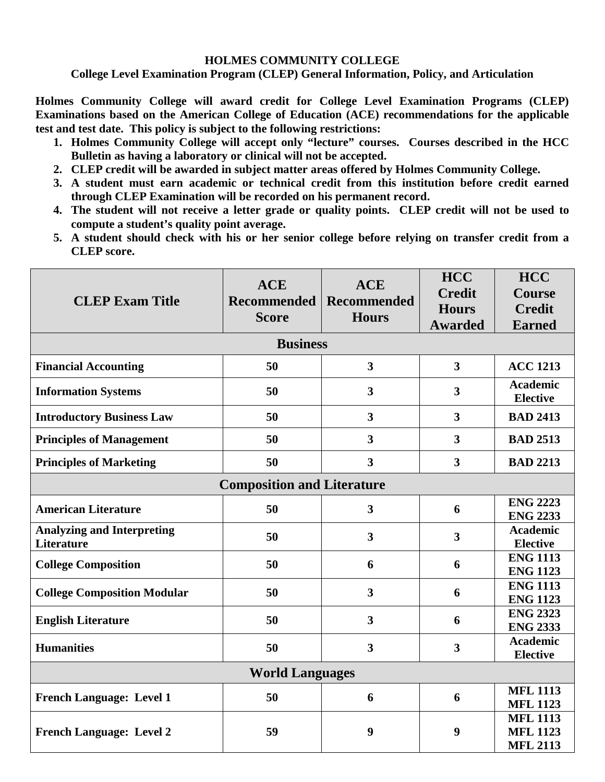## **HOLMES COMMUNITY COLLEGE**

**College Level Examination Program (CLEP) General Information, Policy, and Articulation**

**Holmes Community College will award credit for College Level Examination Programs (CLEP) Examinations based on the American College of Education (ACE) recommendations for the applicable test and test date. This policy is subject to the following restrictions:**

- **1. Holmes Community College will accept only "lecture" courses. Courses described in the HCC Bulletin as having a laboratory or clinical will not be accepted.**
- **2. CLEP credit will be awarded in subject matter areas offered by Holmes Community College.**
- **3. A student must earn academic or technical credit from this institution before credit earned through CLEP Examination will be recorded on his permanent record.**
- **4. The student will not receive a letter grade or quality points. CLEP credit will not be used to compute a student's quality point average.**
- **5. A student should check with his or her senior college before relying on transfer credit from a CLEP score.**

| <b>CLEP Exam Title</b>                                 | <b>ACE</b><br><b>Recommended</b><br><b>Score</b> | <b>ACE</b><br><b>Recommended</b><br><b>Hours</b> | <b>HCC</b><br><b>Credit</b><br><b>Hours</b><br><b>Awarded</b> | <b>HCC</b><br><b>Course</b><br><b>Credit</b><br><b>Earned</b> |  |  |  |
|--------------------------------------------------------|--------------------------------------------------|--------------------------------------------------|---------------------------------------------------------------|---------------------------------------------------------------|--|--|--|
| <b>Business</b>                                        |                                                  |                                                  |                                                               |                                                               |  |  |  |
| <b>Financial Accounting</b>                            | 50                                               | $\overline{\mathbf{3}}$                          | $\overline{\mathbf{3}}$                                       | <b>ACC 1213</b>                                               |  |  |  |
| <b>Information Systems</b>                             | 50                                               | $\overline{\mathbf{3}}$                          | 3                                                             | <b>Academic</b><br><b>Elective</b>                            |  |  |  |
| <b>Introductory Business Law</b>                       | 50                                               | $\overline{\mathbf{3}}$                          | 3                                                             | <b>BAD 2413</b>                                               |  |  |  |
| <b>Principles of Management</b>                        | 50                                               | $\overline{\mathbf{3}}$                          | $\overline{\mathbf{3}}$                                       | <b>BAD 2513</b>                                               |  |  |  |
| <b>Principles of Marketing</b>                         | 50                                               | $\overline{\mathbf{3}}$                          | $\overline{\mathbf{3}}$                                       | <b>BAD 2213</b>                                               |  |  |  |
| <b>Composition and Literature</b>                      |                                                  |                                                  |                                                               |                                                               |  |  |  |
| <b>American Literature</b>                             | 50                                               | 3                                                | 6                                                             | <b>ENG 2223</b><br><b>ENG 2233</b>                            |  |  |  |
| <b>Analyzing and Interpreting</b><br><b>Literature</b> | 50                                               | $\overline{\mathbf{3}}$                          | $\overline{\mathbf{3}}$                                       | <b>Academic</b><br><b>Elective</b>                            |  |  |  |
| <b>College Composition</b>                             | 50                                               | 6                                                | 6                                                             | <b>ENG 1113</b><br><b>ENG 1123</b>                            |  |  |  |
| <b>College Composition Modular</b>                     | 50                                               | $\overline{\mathbf{3}}$                          | 6                                                             | <b>ENG 1113</b><br><b>ENG 1123</b>                            |  |  |  |
| <b>English Literature</b>                              | 50                                               | $\mathbf{3}$                                     | 6                                                             | <b>ENG 2323</b><br><b>ENG 2333</b>                            |  |  |  |
| <b>Humanities</b>                                      | 50                                               | $\overline{\mathbf{3}}$                          | $\overline{\mathbf{3}}$                                       | <b>Academic</b><br><b>Elective</b>                            |  |  |  |
| <b>World Languages</b>                                 |                                                  |                                                  |                                                               |                                                               |  |  |  |
| <b>French Language: Level 1</b>                        | 50                                               | 6                                                | 6                                                             | <b>MFL 1113</b><br><b>MFL 1123</b>                            |  |  |  |
| <b>French Language: Level 2</b>                        | 59                                               | 9                                                | 9                                                             | <b>MFL 1113</b><br><b>MFL 1123</b><br><b>MFL 2113</b>         |  |  |  |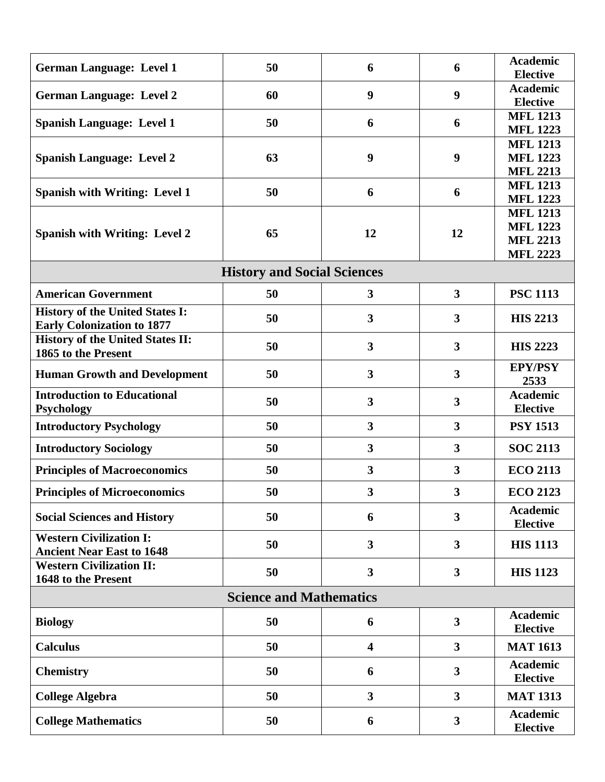| <b>German Language: Level 1</b>         | 50 | 6                       | 6                       | <b>Academic</b>                    |  |  |  |  |
|-----------------------------------------|----|-------------------------|-------------------------|------------------------------------|--|--|--|--|
|                                         |    |                         |                         | <b>Elective</b><br><b>Academic</b> |  |  |  |  |
| <b>German Language: Level 2</b>         | 60 | 9                       | 9                       | <b>Elective</b>                    |  |  |  |  |
|                                         |    |                         |                         | <b>MFL 1213</b>                    |  |  |  |  |
| <b>Spanish Language: Level 1</b>        | 50 | 6                       | 6                       | <b>MFL 1223</b>                    |  |  |  |  |
|                                         |    |                         |                         | <b>MFL 1213</b>                    |  |  |  |  |
| <b>Spanish Language: Level 2</b>        | 63 | $\boldsymbol{9}$        | 9                       | <b>MFL 1223</b>                    |  |  |  |  |
|                                         |    |                         |                         | <b>MFL 2213</b><br><b>MFL 1213</b> |  |  |  |  |
| <b>Spanish with Writing: Level 1</b>    | 50 | 6                       | 6                       | <b>MFL 1223</b>                    |  |  |  |  |
|                                         | 65 | 12                      | 12                      | <b>MFL 1213</b>                    |  |  |  |  |
|                                         |    |                         |                         | <b>MFL 1223</b>                    |  |  |  |  |
| <b>Spanish with Writing: Level 2</b>    |    |                         |                         | <b>MFL 2213</b>                    |  |  |  |  |
|                                         |    |                         |                         | <b>MFL 2223</b>                    |  |  |  |  |
| <b>History and Social Sciences</b>      |    |                         |                         |                                    |  |  |  |  |
| <b>American Government</b>              | 50 | 3                       | 3                       | <b>PSC 1113</b>                    |  |  |  |  |
| <b>History of the United States I:</b>  | 50 | $\mathbf{3}$            | 3                       | <b>HIS 2213</b>                    |  |  |  |  |
| <b>Early Colonization to 1877</b>       |    |                         |                         |                                    |  |  |  |  |
| <b>History of the United States II:</b> | 50 | 3                       | 3                       | <b>HIS 2223</b>                    |  |  |  |  |
| 1865 to the Present                     |    |                         |                         |                                    |  |  |  |  |
| <b>Human Growth and Development</b>     | 50 | $\overline{\mathbf{3}}$ | $\overline{\mathbf{3}}$ | <b>EPY/PSY</b><br>2533             |  |  |  |  |
| <b>Introduction to Educational</b>      |    |                         |                         | <b>Academic</b>                    |  |  |  |  |
| <b>Psychology</b>                       | 50 | $\overline{\mathbf{3}}$ | $\overline{\mathbf{3}}$ | <b>Elective</b>                    |  |  |  |  |
| <b>Introductory Psychology</b>          | 50 | $\overline{\mathbf{3}}$ | $\mathbf{3}$            | <b>PSY 1513</b>                    |  |  |  |  |
| <b>Introductory Sociology</b>           | 50 | $\mathbf{3}$            | $\overline{\mathbf{3}}$ | <b>SOC 2113</b>                    |  |  |  |  |
| <b>Principles of Macroeconomics</b>     | 50 | 3                       | 3                       | <b>ECO 2113</b>                    |  |  |  |  |
| <b>Principles of Microeconomics</b>     | 50 | $\overline{\mathbf{3}}$ | $\mathbf{3}$            | <b>ECO 2123</b>                    |  |  |  |  |
|                                         |    |                         |                         | <b>Academic</b>                    |  |  |  |  |
| <b>Social Sciences and History</b>      | 50 | 6                       | 3                       | <b>Elective</b>                    |  |  |  |  |
| <b>Western Civilization I:</b>          | 50 | 3                       | $\overline{\mathbf{3}}$ | <b>HIS 1113</b>                    |  |  |  |  |
| <b>Ancient Near East to 1648</b>        |    |                         |                         |                                    |  |  |  |  |
| <b>Western Civilization II:</b>         | 50 | $\mathbf{3}$            | 3                       | <b>HIS 1123</b>                    |  |  |  |  |
| 1648 to the Present                     |    |                         |                         |                                    |  |  |  |  |
| <b>Science and Mathematics</b>          |    |                         |                         |                                    |  |  |  |  |
| <b>Biology</b>                          | 50 | 6                       | $\mathbf{3}$            | <b>Academic</b><br><b>Elective</b> |  |  |  |  |
| <b>Calculus</b>                         | 50 | $\overline{\mathbf{4}}$ | $\overline{\mathbf{3}}$ | <b>MAT 1613</b>                    |  |  |  |  |
|                                         |    |                         |                         | <b>Academic</b>                    |  |  |  |  |
| <b>Chemistry</b>                        | 50 | 6                       | 3                       | <b>Elective</b>                    |  |  |  |  |
| <b>College Algebra</b>                  | 50 | $\overline{\mathbf{3}}$ | 3                       | <b>MAT 1313</b>                    |  |  |  |  |
| <b>College Mathematics</b>              | 50 | 6                       | $\mathbf{3}$            | <b>Academic</b><br><b>Elective</b> |  |  |  |  |